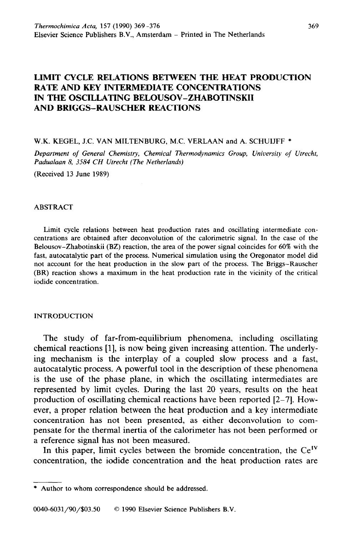# **LIMIT CYCLE RELATIONS BETWEEN THE HEAT PRODUCTION RATE AND KEY INTERMEDIATE CONCENTRATIONS IN THE OSCILLATING BELOUSOV-ZHABOTINSKII AND BRIGGS-RAUSCHER REACTIONS**

### W.K. KEGEL, J.C. VAN MILTENBURG, M.C. VERLAAN and A. SCHUIJFF \*

*Department of General Chemistry, Chemical Thermodynamics Group, University of Utrecht, Padualaan 8, 3584 CH Utrecht (The Netherlands)* 

(Received 13 June 1989)

#### ABSTRACT

Limit cycle relations between heat production rates and oscillating intermediate concentrations are obtained after deconvolution of the calorimetric signal. In the case of the Belousov-Zhabotinskii (BZ) reaction, the area of the power signal coincides for 60% with the fast, autocatalytic part of the process. Numerical simulation using the Oregonator model did not account for the heat production in the slow part of the process. The Briggs-Rauscher (BR) reaction shows a maximum in the heat production rate in the vicinity of the critical iodide concentration.

### INTRODUCTION

The study of far-from-equilibrium phenomena, including oscillating chemical reactions [l], is now being given increasing attention. The underlying mechanism is the interplay of a coupled slow process and a fast, autocatalytic process. A powerful tool in the description of these phenomena is the use of the phase plane, in which the oscillating intermediates are represented by limit cycles. During the last 20 years, results on the heat production of oscillating chemical reactions have been reported [2-71. However, a proper relation between the heat production and a key intermediate concentration has not been presented, as either deconvolution to compensate for the thermal inertia of the calorimeter has not been performed or a reference signal has not been measured.

In this paper, limit cycles between the bromide concentration, the  $Ce<sup>IV</sup>$ concentration, the iodide concentration and the heat production rates are

<sup>\*</sup> Author to whom correspondence should be addressed.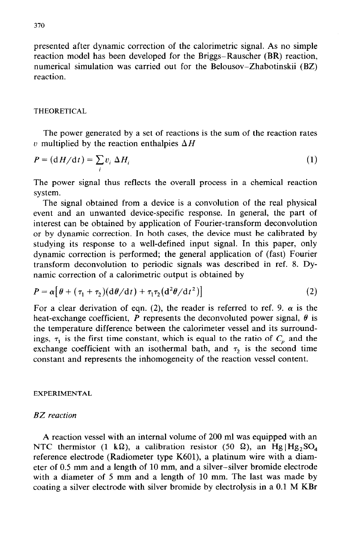presented after dynamic correction of the calorimetric signal. As no simple reaction model has been developed for the Briggs-Rauscher (BR) reaction, numerical simulation was carried out for the Belousov-Zhabotinskii (BZ) reaction.

## **THEORETICAL**

The power generated by a set of reactions is the sum of the reaction rates v multiplied by the reaction enthalpies  $\Delta H$ 

$$
P = (dH/dt) = \sum_{i} v_i \Delta H_i
$$
 (1)

The power signal thus reflects the overall process in a chemical reaction system.

The signal obtained from a device is a convolution of the real physical event and an unwanted device-specific response. In general, the part of interest can be obtained by application of Fourier-transform deconvolution or by dynamic correction. In both cases, the device must be calibrated by studying its response to a well-defined input signal. In this paper, only dynamic correction is performed; the general application of (fast) Fourier transform deconvolution to periodic signals was described in ref. 8. Dynamic correction of a calorimetric output is obtained by

$$
P = \alpha \left[ \theta + (\tau_1 + \tau_2) (d\theta/dt) + \tau_1 \tau_2 (d^2\theta/dt^2) \right]
$$
 (2)

For a clear derivation of eqn. (2), the reader is referred to ref. 9.  $\alpha$  is the heat-exchange coefficient,  $P$  represents the deconvoluted power signal,  $\theta$  is the temperature difference between the calorimeter vessel and its surroundings,  $\tau_1$  is the first time constant, which is equal to the ratio of  $C_p$  and the exchange coefficient with an isothermal bath, and  $\tau_2$  is the second time constant and represents the inhomogeneity of the reaction vessel content.

### **EXPERIMENTAL**

## *BZ reaction*

A reaction vessel with an internal volume of 200 ml was equipped with an NTC thermistor (1 k $\Omega$ ), a calibration resistor (50  $\Omega$ ), an Hg |Hg<sub>2</sub>SO<sub>4</sub> reference electrode (Radiometer type K601), a platinum wire with a diameter of 0.5 mm and a length of 10 mm, and a silver-silver bromide electrode with a diameter of 5 mm and a length of 10 mm. The last was made by coating a silver electrode with silver bromide by electrolysis in a 0.1 M KBr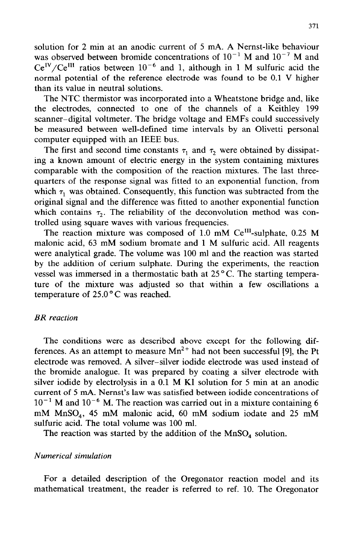solution for 2 min at an anodic current of 5 mA. A Nernst-like behaviour was observed between bromide concentrations of  $10^{-1}$  M and  $10^{-7}$  M and  $Ce^{IV}/Ce^{III}$  ratios between  $10^{-6}$  and 1, although in 1 M sulfuric acid the normal potential of the reference electrode was found to be 0.1 V higher than its value in neutral solutions.

The NTC thermistor was incorporated into a Wheatstone bridge and, like the electrodes, connected to one of the channels of a Keithley 199 scanner-digital voltmeter. The bridge voltage and EMFs could successively be measured between well-defined time intervals by an Olivetti personal computer equipped with an IEEE bus.

The first and second time constants  $\tau_1$  and  $\tau_2$  were obtained by dissipating a known amount of electric energy in the system containing mixtures comparable with the composition of the reaction mixtures. The last threequarters of the response signal was fitted to an exponential function, from which  $\tau_1$  was obtained. Consequently, this function was subtracted from the original signal and the difference was fitted to another exponential function which contains  $\tau_2$ . The reliability of the deconvolution method was controlled using square waves with various frequencies.

The reaction mixture was composed of 1.0 mM Ce<sup>III</sup>-sulphate, 0.25 M malonic acid, 63 mM sodium bromate and 1 M sulfuric acid. All reagents were analytical grade. The volume was 100 ml and the reaction was started by the addition of cerium sulphate. During the experiments, the reaction vessel was immersed in a thermostatic bath at  $25^{\circ}$ C. The starting temperature of the mixture was adjusted so that within a few oscillations a temperature of  $25.0\degree$ C was reached.

## *BR reaction*

The conditions were as described above except for the following differences. As an attempt to measure  $Mn^{2+}$  had not been successful [9], the Pt electrode was removed. A silver-silver iodide electrode was used instead of the bromide analogue. It was prepared by coating a silver electrode with silver iodide by electrolysis in a 0.1 M KI solution for 5 min at an anodic current of 5 mA. Nernst's law was satisfied between iodide concentrations of  $10^{-1}$  M and  $10^{-6}$  M. The reaction was carried out in a mixture containing 6 mM MnSO,, 45 mM malonic acid, 60 mM sodium iodate and 25 mM sulfuric acid. The total volume was 100 ml.

The reaction was started by the addition of the  $MnSO<sub>4</sub>$  solution.

# *Numerical simulation*

For a detailed description of the Oregonator reaction model and its mathematical treatment, the reader is referred to ref. 10. The Oregonator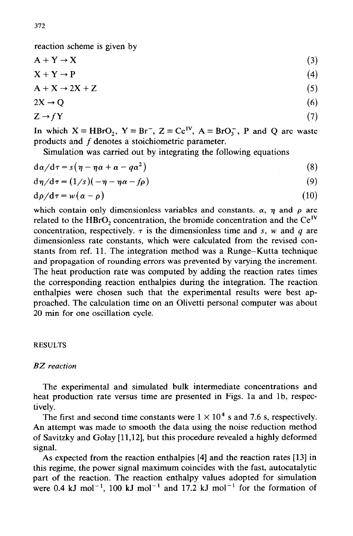reaction scheme is given by

$$
A + Y \to X \tag{3}
$$

$$
X + Y \to P \tag{4}
$$

$$
A + X \rightarrow 2X + Z \tag{5}
$$

$$
2X \to Q \tag{6}
$$

$$
Z \to fY \tag{7}
$$

In which  $X = HBrO<sub>2</sub>$ ,  $Y = Br<sup>-</sup>$ ,  $Z = Ce<sup>IV</sup>$ ,  $A = BrO<sub>3</sub>$ , P and Q are waste products and *f* denotes a stoichiometric parameter.

Simulation was carried out by integrating the following equations

$$
d\alpha/d\tau = s(\eta - \eta\alpha + \alpha - q\alpha^2)
$$
 (8)

$$
d\eta/d\tau = (1/s)(-\eta - \eta\alpha - f\rho)
$$
\n(9)

$$
d\rho/d\tau = w(\alpha - \rho) \tag{10}
$$

which contain only dimensionless variables and constants.  $\alpha$ ,  $\eta$  and  $\rho$  are related to the HBrO<sub>2</sub> concentration, the bromide concentration and the  $Ce^{IV}$ concentration, respectively.  $\tau$  is the dimensionless time and *s*, *w* and *q* are dimensionless rate constants, which were calculated from the revised constants from ref. 11. The integration method was a Runge-Kutta technique and propagation of rounding errors was prevented by varying the increment. The heat production rate was computed by adding the reaction rates times the corresponding reaction enthalpies during the integration. The reaction enthalpies were chosen such that the experimental results were best approached. The calculation time on an Olivetti personal computer was about 20 min for one oscillation cycle.

## **RESULTS**

## *BZ reaction*

The experimental and simulated bulk intermediate concentrations and heat production rate versus time are presented in Figs. la and lb, respectively.

The first and second time constants were  $1 \times 10^4$  s and 7.6 s, respectively. An attempt was made to smooth the data using the noise reduction method of Savitzky and Golay [11,12], but this procedure revealed a highly deformed signal.

As expected from the reaction enthalpies [4] and the reaction rates [13] in this regime, the power signal maximum coincides with the fast, autocatalytic part of the reaction. The reaction enthalpy values adopted for simulation were 0.4 kJ mol<sup>-1</sup>, 100 kJ mol<sup>-1</sup> and 17.2 kJ mol<sup>-1</sup> for the formation of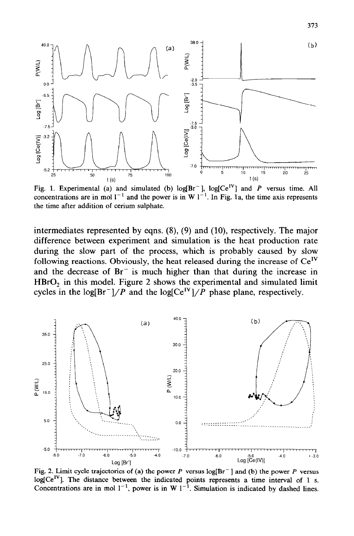

Fig. 1. Experimental (a) and simulated (b)  $log[Br^{-}]$ ,  $log[Ce^{IV}]$  and *P* versus time. All concentrations are in mol  $l^{-1}$  and the power is in W  $l^{-1}$ . In Fig. 1a, the time axis represents **the time after addition of cerium sulphate.** 

intermediates represented by eqns.  $(8)$ ,  $(9)$  and  $(10)$ , respectively. The major difference between experiment and simulation is the heat production rate during the slow part of the process, which is probably caused by slow following reactions. Obviously, the heat released during the increase of  $Ce^{IV}$ and the decrease of  $Br^-$  is much higher than that during the increase in  $HBrO<sub>2</sub>$  in this model. Figure 2 shows the experimental and simulated limit cycles in the log[Br<sup>-</sup>]/P and the log[Ce<sup>IV</sup>]/P phase plane, respectively.



Fig. 2. Limit cycle trajectories of (a) the power  $P$  versus  $log[Br^{-}]$  and (b) the power  $P$  versus  $log[Ce^{IV}]$ . The distance between the indicated points represents a time interval of 1 s. Concentrations are in mol  $1^{-1}$ , power is in W  $1^{-1}$ . Simulation is indicated by dashed lines.

313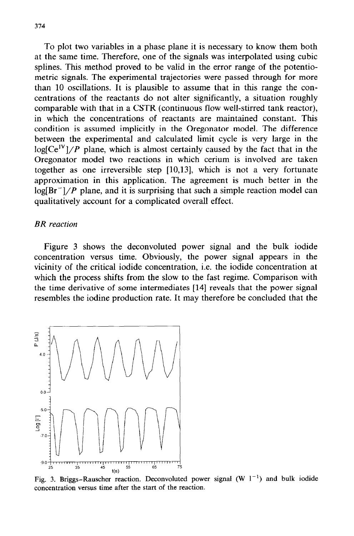To plot two variables in a phase plane it is necessary to know them both at the same time. Therefore, one of the signals was interpolated using cubic splines. This method proved to be valid in the error range of the potentiometric signals. The experimental trajectories were passed through for more than 10 oscillations. It is plausible to assume that in this range the concentrations of the reactants do not alter significantly, a situation roughly comparable with that in a CSTR (continuous flow well-stirred tank reactor), in which the concentrations of reactants are maintained constant. This condition is assumed implicitly in the Oregonator model. The difference between the experimental and calculated limit cycle is very large in the  $log[Ce^{IV}]/P$  plane, which is almost certainly caused by the fact that in the Oregonator model two reactions in which cerium is involved are taken together as one irreversible step [10,13], which is not a very fortunate approximation in this application. The agreement is much better in the  $log[Br^-]/P$  plane, and it is surprising that such a simple reaction model can qualitatively account for a complicated overall effect.

## *BR reaction*

Figure 3 shows the deconvoluted power signal and the bulk iodide concentration versus time. Obviously, the power signal appears in the vicinity of the critical iodide concentration, i.e. the iodide concentration at which the process shifts from the slow to the fast regime. Comparison with the time derivative of some intermediates [14] reveals that the power signal resembles the iodine production rate. It may therefore be concluded that the



Fig. 3. Briggs-Rauscher reaction. Deconvoluted power signal (W  $1^{-1}$ ) and bulk iodide concentration versus time after the start of the reaction.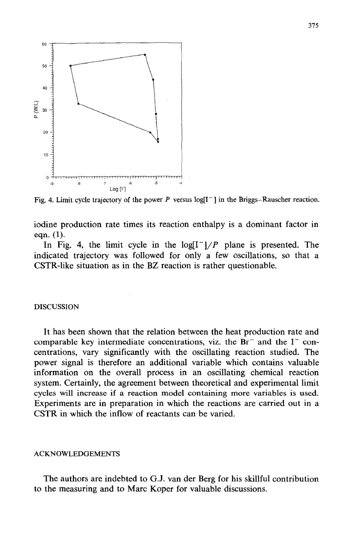

Fig. 4. Limit cycle trajectory of the power *P* versus  $\log(I^{-})$  in the Briggs-Rauscher reaction.

iodine production rate times its reaction enthalpy is a dominant factor in eqn. (1).

In Fig. 4, the limit cycle in the  $log[I^{-1}/P]$  plane is presented. The indicated trajectory was followed for only a few oscillations, so that a CSTR-like situation as in the BZ reaction is rather questionable.

### DISCUSSION

It has been shown that the relation between the heat production rate and comparable key intermediate concentrations, viz. the  $Br^-$  and the  $I^-$  concentrations, vary significantly with the oscillating reaction studied. The power signal is therefore an additional variable which contains valuable information on the overall process in an oscillating chemical reaction system. Certainly, the agreement between theoretical and experimental limit cycles will increase if a reaction model containing more variables is used. Experiments are in preparation in which the reactions are carried out in a CSTR in which the inflow of reactants can be varied.

#### ACKNOWLEDGEMENT

The authors are indebted to G.J. van der Berg for his skillful contribution to the measuring and to Marc Koper for valuable discussions.